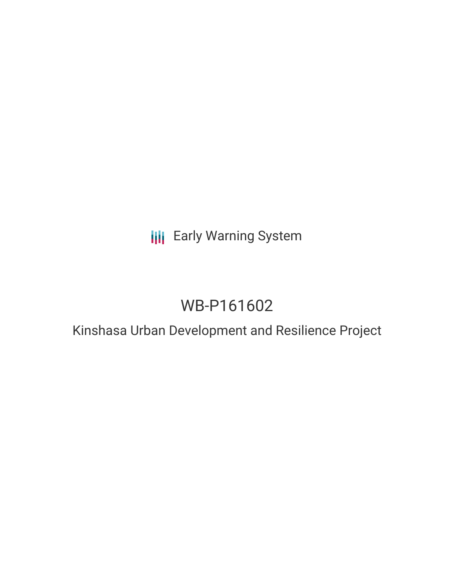## **III** Early Warning System

# WB-P161602

## Kinshasa Urban Development and Resilience Project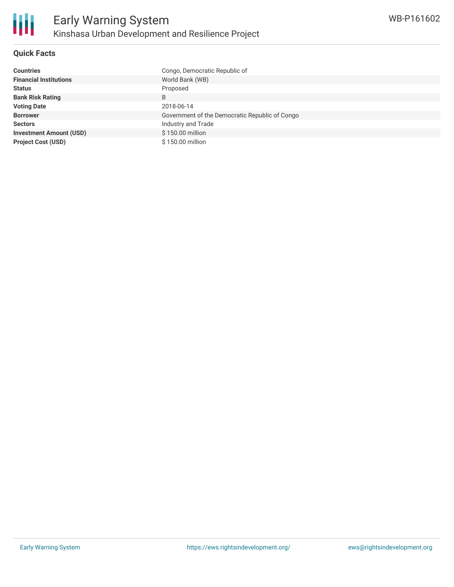

#### **Quick Facts**

| <b>Countries</b>               | Congo, Democratic Republic of                  |
|--------------------------------|------------------------------------------------|
| <b>Financial Institutions</b>  | World Bank (WB)                                |
| <b>Status</b>                  | Proposed                                       |
| <b>Bank Risk Rating</b>        | B                                              |
| <b>Voting Date</b>             | 2018-06-14                                     |
| <b>Borrower</b>                | Government of the Democratic Republic of Congo |
| <b>Sectors</b>                 | Industry and Trade                             |
| <b>Investment Amount (USD)</b> | \$150,00 million                               |
| <b>Project Cost (USD)</b>      | \$150,00 million                               |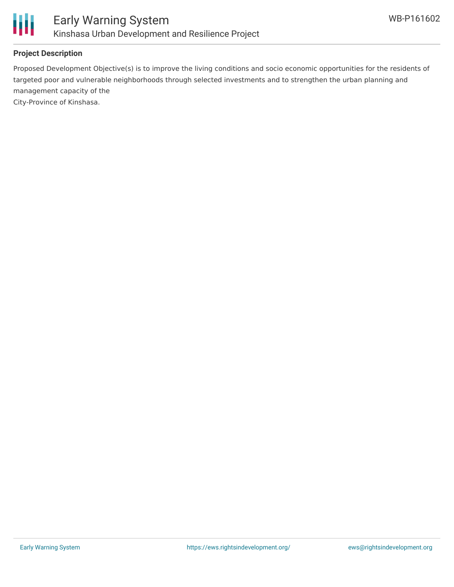

### **Project Description**

Proposed Development Objective(s) is to improve the living conditions and socio economic opportunities for the residents of targeted poor and vulnerable neighborhoods through selected investments and to strengthen the urban planning and management capacity of the

City-Province of Kinshasa.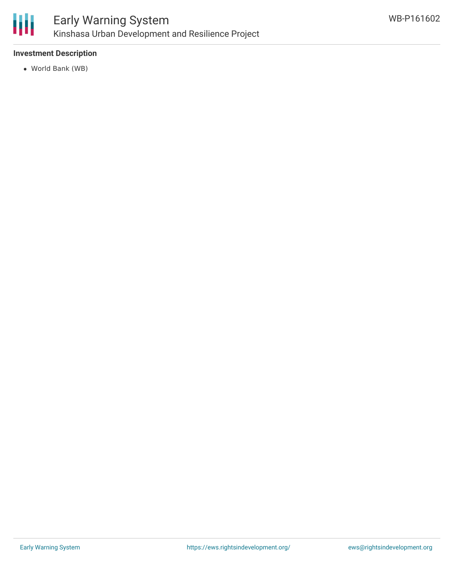

### **Investment Description**

World Bank (WB)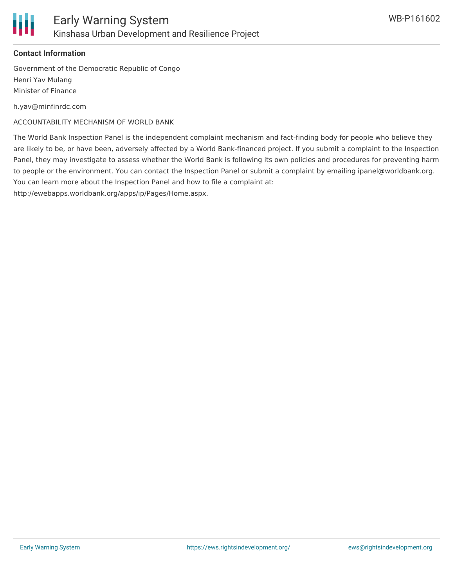

#### **Contact Information**

Government of the Democratic Republic of Congo Henri Yav Mulang Minister of Finance

h.yav@minfinrdc.com

ACCOUNTABILITY MECHANISM OF WORLD BANK

The World Bank Inspection Panel is the independent complaint mechanism and fact-finding body for people who believe they are likely to be, or have been, adversely affected by a World Bank-financed project. If you submit a complaint to the Inspection Panel, they may investigate to assess whether the World Bank is following its own policies and procedures for preventing harm to people or the environment. You can contact the Inspection Panel or submit a complaint by emailing ipanel@worldbank.org. You can learn more about the Inspection Panel and how to file a complaint at:

http://ewebapps.worldbank.org/apps/ip/Pages/Home.aspx.